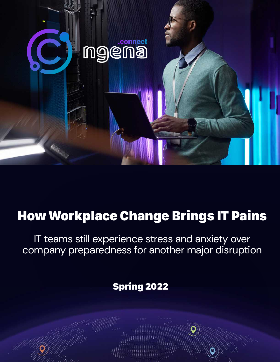

# How Workplace Change Brings IT Pains

IT teams still experience stress and anxiety over company preparedness for another major disruption

Spring 2022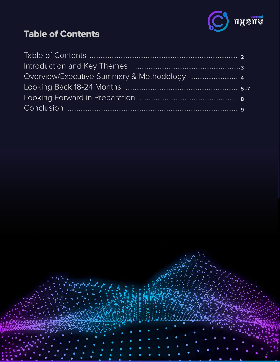

## **Table of Contents**

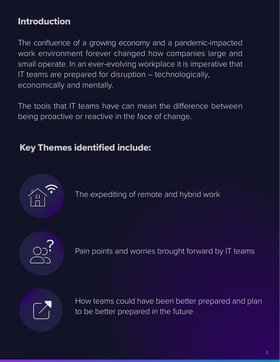## Introduction

The confluence of a growing economy and a pandemic-impacted work environment forever changed how companies large and small operate. In an ever-evolving workplace it is imperative that IT teams are prepared for disruption – technologically, economically and mentally.

The tools that IT teams have can mean the difference between being proactive or reactive in the face of change.

### Key Themes identified include:



The expediting of remote and hybrid work



Pain points and worries brought forward by IT teams



How teams could have been better prepared and plan to be better prepared in the future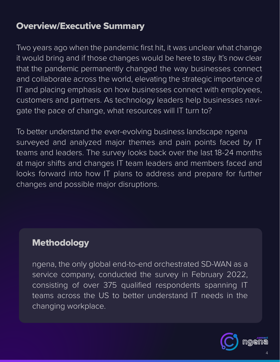### Overview/Executive Summary

Two years ago when the pandemic first hit, it was unclear what change it would bring and if those changes would be here to stay. It's now clear that the pandemic permanently changed the way businesses connect and collaborate across the world, elevating the strategic importance of IT and placing emphasis on how businesses connect with employees, customers and partners. As technology leaders help businesses navigate the pace of change, what resources will IT turn to?

To better understand the ever-evolving business landscape ngena surveyed and analyzed major themes and pain points faced by IT teams and leaders. The survey looks back over the last 18-24 months at major shifts and changes IT team leaders and members faced and looks forward into how IT plans to address and prepare for further changes and possible major disruptions.

#### **Methodology**

ngena, the only global end-to-end orchestrated SD-WAN as a service company, conducted the survey in February 2022, consisting of over 375 qualified respondents spanning IT teams across the US to better understand IT needs in the changing workplace.

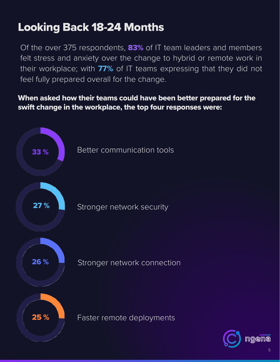## Looking Back 18-24 Months

Of the over 375 respondents, 83% of IT team leaders and members felt stress and anxiety over the change to hybrid or remote work in their workplace; with **77%** of IT teams expressing that they did not feel fully prepared overall for the change.

#### When asked how their teams could have been better prepared for the swift change in the workplace, the top four responses were:



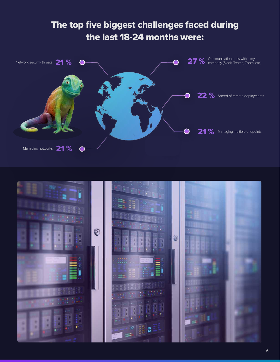## The top five biggest challenges faced during the last 18-24 months were:



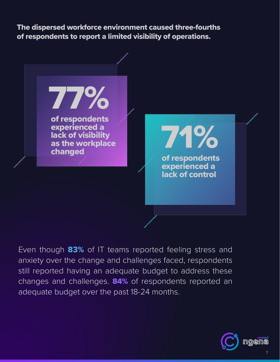The dispersed workforce environment caused three-fourths of respondents to report a limited visibility of operations.



Even though **83%** of IT teams reported feeling stress and anxiety over the change and challenges faced, respondents still reported having an adequate budget to address these changes and challenges. **84%** of respondents reported an adequate budget over the past 18-24 months.

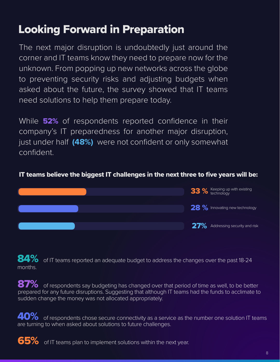## Looking Forward in Preparation

The next major disruption is undoubtedly just around the corner and IT teams know they need to prepare now for the unknown. From popping up new networks across the globe to preventing security risks and adjusting budgets when asked about the future, the survey showed that IT teams need solutions to help them prepare today.

While **52%** of respondents reported confidence in their company's IT preparedness for another major disruption, just under half **(48%)** were not confident or only somewhat confident.

#### IT teams believe the biggest IT challenges in the next three to five years will be:



84% of IT teams reported an adequate budget to address the changes over the past 18-24 months.

87% of respondents say budgeting has changed over that period of time as well, to be better prepared for any future disruptions. Suggesting that although IT teams had the funds to acclimate to sudden change the money was not allocated appropriately.

 $40\%$  of respondents chose secure connectivity as a service as the number one solution IT teams are turning to when asked about solutions to future challenges.

65% of IT teams plan to implement solutions within the next year.